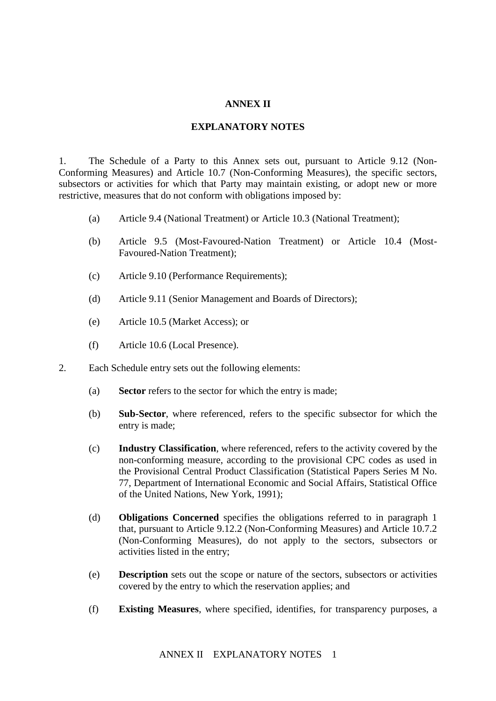## **ANNEX II**

## **EXPLANATORY NOTES**

1. The Schedule of a Party to this Annex sets out, pursuant to Article 9.12 (Non-Conforming Measures) and Article 10.7 (Non-Conforming Measures), the specific sectors, subsectors or activities for which that Party may maintain existing, or adopt new or more restrictive, measures that do not conform with obligations imposed by:

- (a) Article 9.4 (National Treatment) or Article 10.3 (National Treatment);
- (b) Article 9.5 (Most-Favoured-Nation Treatment) or Article 10.4 (Most-Favoured-Nation Treatment);
- (c) Article 9.10 (Performance Requirements);
- (d) Article 9.11 (Senior Management and Boards of Directors);
- (e) Article 10.5 (Market Access); or
- (f) Article 10.6 (Local Presence).
- 2. Each Schedule entry sets out the following elements:
	- (a) **Sector** refers to the sector for which the entry is made;
	- (b) **Sub-Sector**, where referenced, refers to the specific subsector for which the entry is made;
	- (c) **Industry Classification**, where referenced, refers to the activity covered by the non-conforming measure, according to the provisional CPC codes as used in the Provisional Central Product Classification (Statistical Papers Series M No. 77, Department of International Economic and Social Affairs, Statistical Office of the United Nations, New York, 1991);
	- (d) **Obligations Concerned** specifies the obligations referred to in paragraph 1 that, pursuant to Article 9.12.2 (Non-Conforming Measures) and Article 10.7.2 (Non-Conforming Measures), do not apply to the sectors, subsectors or activities listed in the entry;
	- (e) **Description** sets out the scope or nature of the sectors, subsectors or activities covered by the entry to which the reservation applies; and
	- (f) **Existing Measures**, where specified, identifies, for transparency purposes, a